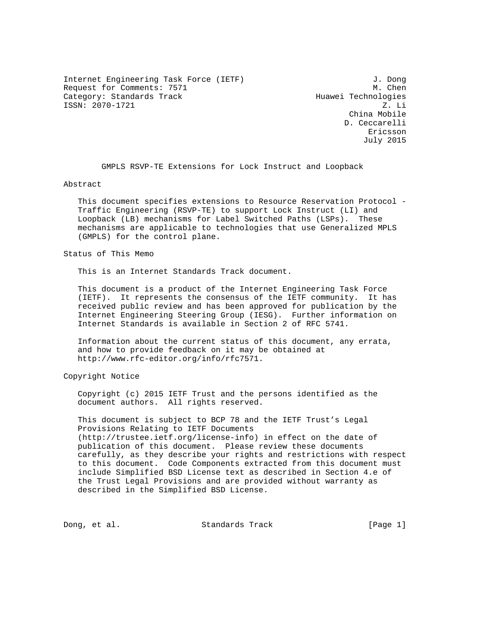Internet Engineering Task Force (IETF) 3. Dong Request for Comments: 7571 M. Chen Category: Standards Track Huawei Technologies ISSN: 2070-1721 Z. Li

 China Mobile D. Ceccarelli eric and the contract of the contract of the contract of the contract of the contract of the contract of the contract of the contract of the contract of the contract of the contract of the contract of the contract of the c July 2015

GMPLS RSVP-TE Extensions for Lock Instruct and Loopback

Abstract

 This document specifies extensions to Resource Reservation Protocol - Traffic Engineering (RSVP-TE) to support Lock Instruct (LI) and Loopback (LB) mechanisms for Label Switched Paths (LSPs). These mechanisms are applicable to technologies that use Generalized MPLS (GMPLS) for the control plane.

Status of This Memo

This is an Internet Standards Track document.

 This document is a product of the Internet Engineering Task Force (IETF). It represents the consensus of the IETF community. It has received public review and has been approved for publication by the Internet Engineering Steering Group (IESG). Further information on Internet Standards is available in Section 2 of RFC 5741.

 Information about the current status of this document, any errata, and how to provide feedback on it may be obtained at http://www.rfc-editor.org/info/rfc7571.

Copyright Notice

 Copyright (c) 2015 IETF Trust and the persons identified as the document authors. All rights reserved.

 This document is subject to BCP 78 and the IETF Trust's Legal Provisions Relating to IETF Documents (http://trustee.ietf.org/license-info) in effect on the date of publication of this document. Please review these documents carefully, as they describe your rights and restrictions with respect to this document. Code Components extracted from this document must include Simplified BSD License text as described in Section 4.e of the Trust Legal Provisions and are provided without warranty as described in the Simplified BSD License.

Dong, et al. Standards Track [Page 1]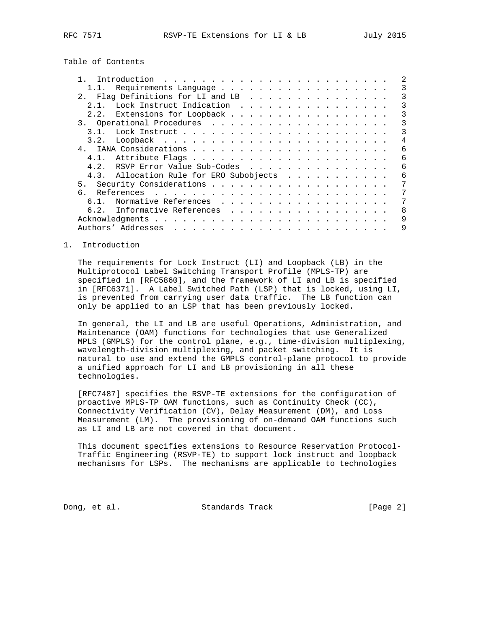Table of Contents

| 1.1. Requirements Language              |   |
|-----------------------------------------|---|
| 2. Flaq Definitions for LI and LB       |   |
| 2.1. Lock Instruct Indication           | 3 |
| Extensions for Loopback<br>2.2.         | 3 |
|                                         | 3 |
| 3.1.                                    | 3 |
|                                         | 4 |
|                                         | 6 |
|                                         | 6 |
| RSVP Error Value Sub-Codes<br>4.2.      | 6 |
| 4.3. Allocation Rule for ERO Subobjects | 6 |
|                                         | 7 |
| რ.                                      | 7 |
| Normative References<br>6.1.            | 7 |
| 6.2. Informative References             | 8 |
|                                         | 9 |
|                                         | 9 |

## 1. Introduction

 The requirements for Lock Instruct (LI) and Loopback (LB) in the Multiprotocol Label Switching Transport Profile (MPLS-TP) are specified in [RFC5860], and the framework of LI and LB is specified in [RFC6371]. A Label Switched Path (LSP) that is locked, using LI, is prevented from carrying user data traffic. The LB function can only be applied to an LSP that has been previously locked.

 In general, the LI and LB are useful Operations, Administration, and Maintenance (OAM) functions for technologies that use Generalized MPLS (GMPLS) for the control plane, e.g., time-division multiplexing, wavelength-division multiplexing, and packet switching. It is natural to use and extend the GMPLS control-plane protocol to provide a unified approach for LI and LB provisioning in all these technologies.

 [RFC7487] specifies the RSVP-TE extensions for the configuration of proactive MPLS-TP OAM functions, such as Continuity Check (CC), Connectivity Verification (CV), Delay Measurement (DM), and Loss Measurement (LM). The provisioning of on-demand OAM functions such as LI and LB are not covered in that document.

 This document specifies extensions to Resource Reservation Protocol- Traffic Engineering (RSVP-TE) to support lock instruct and loopback mechanisms for LSPs. The mechanisms are applicable to technologies

Dong, et al. Standards Track [Page 2]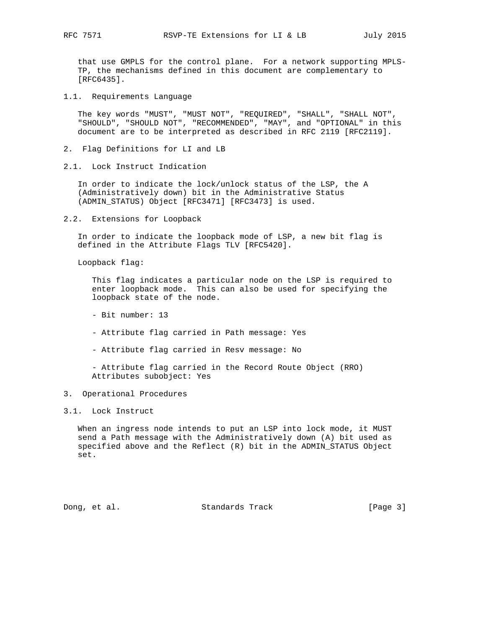that use GMPLS for the control plane. For a network supporting MPLS- TP, the mechanisms defined in this document are complementary to [RFC6435].

1.1. Requirements Language

 The key words "MUST", "MUST NOT", "REQUIRED", "SHALL", "SHALL NOT", "SHOULD", "SHOULD NOT", "RECOMMENDED", "MAY", and "OPTIONAL" in this document are to be interpreted as described in RFC 2119 [RFC2119].

- 2. Flag Definitions for LI and LB
- 2.1. Lock Instruct Indication

 In order to indicate the lock/unlock status of the LSP, the A (Administratively down) bit in the Administrative Status (ADMIN\_STATUS) Object [RFC3471] [RFC3473] is used.

2.2. Extensions for Loopback

 In order to indicate the loopback mode of LSP, a new bit flag is defined in the Attribute Flags TLV [RFC5420].

Loopback flag:

 This flag indicates a particular node on the LSP is required to enter loopback mode. This can also be used for specifying the loopback state of the node.

- Bit number: 13
- Attribute flag carried in Path message: Yes
- Attribute flag carried in Resv message: No

 - Attribute flag carried in the Record Route Object (RRO) Attributes subobject: Yes

## 3. Operational Procedures

## 3.1. Lock Instruct

 When an ingress node intends to put an LSP into lock mode, it MUST send a Path message with the Administratively down (A) bit used as specified above and the Reflect (R) bit in the ADMIN\_STATUS Object set.

Dong, et al. Standards Track [Page 3]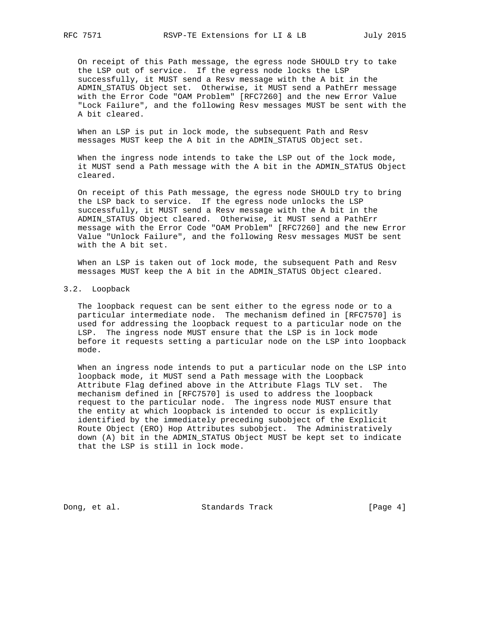On receipt of this Path message, the egress node SHOULD try to take the LSP out of service. If the egress node locks the LSP successfully, it MUST send a Resv message with the A bit in the ADMIN\_STATUS Object set. Otherwise, it MUST send a PathErr message with the Error Code "OAM Problem" [RFC7260] and the new Error Value "Lock Failure", and the following Resv messages MUST be sent with the A bit cleared.

 When an LSP is put in lock mode, the subsequent Path and Resv messages MUST keep the A bit in the ADMIN\_STATUS Object set.

 When the ingress node intends to take the LSP out of the lock mode, it MUST send a Path message with the A bit in the ADMIN\_STATUS Object cleared.

 On receipt of this Path message, the egress node SHOULD try to bring the LSP back to service. If the egress node unlocks the LSP successfully, it MUST send a Resv message with the A bit in the ADMIN\_STATUS Object cleared. Otherwise, it MUST send a PathErr message with the Error Code "OAM Problem" [RFC7260] and the new Error Value "Unlock Failure", and the following Resv messages MUST be sent with the A bit set.

 When an LSP is taken out of lock mode, the subsequent Path and Resv messages MUST keep the A bit in the ADMIN\_STATUS Object cleared.

3.2. Loopback

 The loopback request can be sent either to the egress node or to a particular intermediate node. The mechanism defined in [RFC7570] is used for addressing the loopback request to a particular node on the LSP. The ingress node MUST ensure that the LSP is in lock mode before it requests setting a particular node on the LSP into loopback mode.

 When an ingress node intends to put a particular node on the LSP into loopback mode, it MUST send a Path message with the Loopback Attribute Flag defined above in the Attribute Flags TLV set. The mechanism defined in [RFC7570] is used to address the loopback request to the particular node. The ingress node MUST ensure that the entity at which loopback is intended to occur is explicitly identified by the immediately preceding subobject of the Explicit Route Object (ERO) Hop Attributes subobject. The Administratively down (A) bit in the ADMIN\_STATUS Object MUST be kept set to indicate that the LSP is still in lock mode.

Dong, et al. Standards Track [Page 4]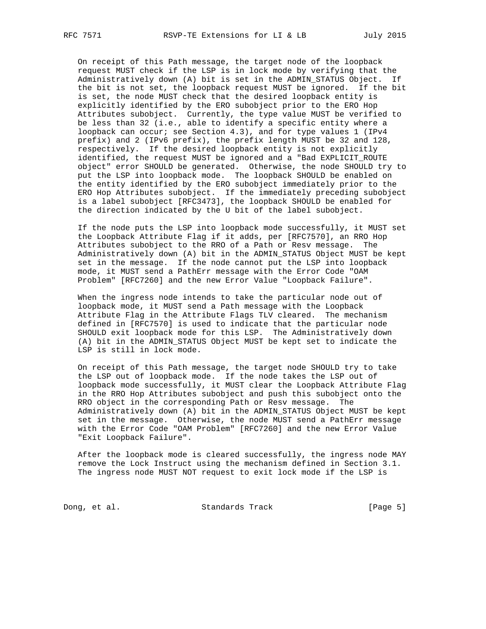On receipt of this Path message, the target node of the loopback request MUST check if the LSP is in lock mode by verifying that the Administratively down (A) bit is set in the ADMIN\_STATUS Object. If the bit is not set, the loopback request MUST be ignored. If the bit is set, the node MUST check that the desired loopback entity is explicitly identified by the ERO subobject prior to the ERO Hop Attributes subobject. Currently, the type value MUST be verified to be less than 32 (i.e., able to identify a specific entity where a loopback can occur; see Section 4.3), and for type values 1 (IPv4 prefix) and 2 (IPv6 prefix), the prefix length MUST be 32 and 128, respectively. If the desired loopback entity is not explicitly identified, the request MUST be ignored and a "Bad EXPLICIT\_ROUTE object" error SHOULD be generated. Otherwise, the node SHOULD try to put the LSP into loopback mode. The loopback SHOULD be enabled on the entity identified by the ERO subobject immediately prior to the ERO Hop Attributes subobject. If the immediately preceding subobject is a label subobject [RFC3473], the loopback SHOULD be enabled for the direction indicated by the U bit of the label subobject.

 If the node puts the LSP into loopback mode successfully, it MUST set the Loopback Attribute Flag if it adds, per [RFC7570], an RRO Hop Attributes subobject to the RRO of a Path or Resv message. The Administratively down (A) bit in the ADMIN\_STATUS Object MUST be kept set in the message. If the node cannot put the LSP into loopback mode, it MUST send a PathErr message with the Error Code "OAM Problem" [RFC7260] and the new Error Value "Loopback Failure".

 When the ingress node intends to take the particular node out of loopback mode, it MUST send a Path message with the Loopback Attribute Flag in the Attribute Flags TLV cleared. The mechanism defined in [RFC7570] is used to indicate that the particular node SHOULD exit loopback mode for this LSP. The Administratively down (A) bit in the ADMIN\_STATUS Object MUST be kept set to indicate the LSP is still in lock mode.

 On receipt of this Path message, the target node SHOULD try to take the LSP out of loopback mode. If the node takes the LSP out of loopback mode successfully, it MUST clear the Loopback Attribute Flag in the RRO Hop Attributes subobject and push this subobject onto the RRO object in the corresponding Path or Resv message. The Administratively down (A) bit in the ADMIN\_STATUS Object MUST be kept set in the message. Otherwise, the node MUST send a PathErr message with the Error Code "OAM Problem" [RFC7260] and the new Error Value "Exit Loopback Failure".

 After the loopback mode is cleared successfully, the ingress node MAY remove the Lock Instruct using the mechanism defined in Section 3.1. The ingress node MUST NOT request to exit lock mode if the LSP is

Dong, et al. Standards Track [Page 5]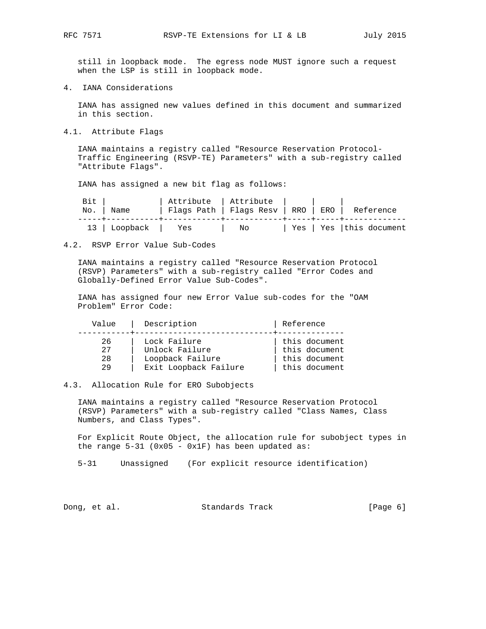still in loopback mode. The egress node MUST ignore such a request when the LSP is still in loopback mode.

4. IANA Considerations

 IANA has assigned new values defined in this document and summarized in this section.

4.1. Attribute Flags

 IANA maintains a registry called "Resource Reservation Protocol- Traffic Engineering (RSVP-TE) Parameters" with a sub-registry called "Attribute Flags".

IANA has assigned a new bit flag as follows:

| Bit |                 | Attribute   Attribute                           |    |  |                           |
|-----|-----------------|-------------------------------------------------|----|--|---------------------------|
|     | No.   Name      | Flags Path   Flags Resv   RRO   ERO   Reference |    |  |                           |
|     |                 |                                                 |    |  |                           |
|     | 13 Loopback Yes |                                                 | Νo |  | Yes   Yes   this document |

#### 4.2. RSVP Error Value Sub-Codes

 IANA maintains a registry called "Resource Reservation Protocol (RSVP) Parameters" with a sub-registry called "Error Codes and Globally-Defined Error Value Sub-Codes".

 IANA has assigned four new Error Value sub-codes for the "OAM Problem" Error Code:

| Value | Description           | Reference     |
|-------|-----------------------|---------------|
| 26    | Lock Failure          | this document |
| 27    | Unlock Failure        | this document |
| 28    | Loopback Failure      | this document |
| 29    | Exit Loopback Failure | this document |

# 4.3. Allocation Rule for ERO Subobjects

 IANA maintains a registry called "Resource Reservation Protocol (RSVP) Parameters" with a sub-registry called "Class Names, Class Numbers, and Class Types".

 For Explicit Route Object, the allocation rule for subobject types in the range  $5-31$  (0x05 - 0x1F) has been updated as:

5-31 Unassigned (For explicit resource identification)

Dong, et al. Standards Track [Page 6]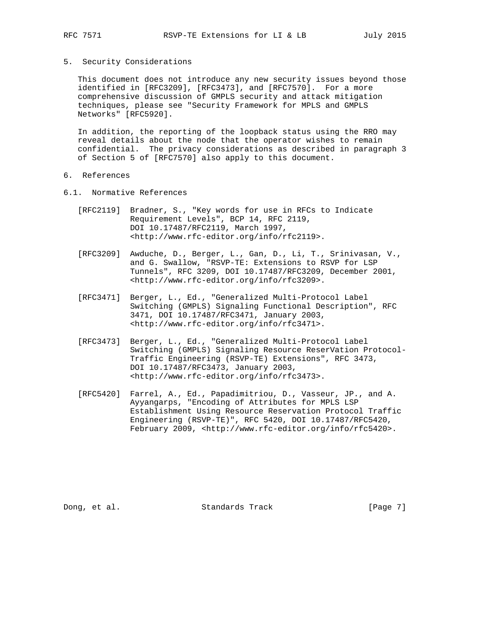## 5. Security Considerations

 This document does not introduce any new security issues beyond those identified in [RFC3209], [RFC3473], and [RFC7570]. For a more comprehensive discussion of GMPLS security and attack mitigation techniques, please see "Security Framework for MPLS and GMPLS Networks" [RFC5920].

 In addition, the reporting of the loopback status using the RRO may reveal details about the node that the operator wishes to remain confidential. The privacy considerations as described in paragraph 3 of Section 5 of [RFC7570] also apply to this document.

- 6. References
- 6.1. Normative References
	- [RFC2119] Bradner, S., "Key words for use in RFCs to Indicate Requirement Levels", BCP 14, RFC 2119, DOI 10.17487/RFC2119, March 1997, <http://www.rfc-editor.org/info/rfc2119>.
	- [RFC3209] Awduche, D., Berger, L., Gan, D., Li, T., Srinivasan, V., and G. Swallow, "RSVP-TE: Extensions to RSVP for LSP Tunnels", RFC 3209, DOI 10.17487/RFC3209, December 2001, <http://www.rfc-editor.org/info/rfc3209>.
	- [RFC3471] Berger, L., Ed., "Generalized Multi-Protocol Label Switching (GMPLS) Signaling Functional Description", RFC 3471, DOI 10.17487/RFC3471, January 2003, <http://www.rfc-editor.org/info/rfc3471>.
	- [RFC3473] Berger, L., Ed., "Generalized Multi-Protocol Label Switching (GMPLS) Signaling Resource ReserVation Protocol- Traffic Engineering (RSVP-TE) Extensions", RFC 3473, DOI 10.17487/RFC3473, January 2003, <http://www.rfc-editor.org/info/rfc3473>.
	- [RFC5420] Farrel, A., Ed., Papadimitriou, D., Vasseur, JP., and A. Ayyangarps, "Encoding of Attributes for MPLS LSP Establishment Using Resource Reservation Protocol Traffic Engineering (RSVP-TE)", RFC 5420, DOI 10.17487/RFC5420, February 2009, <http://www.rfc-editor.org/info/rfc5420>.

Dong, et al. Standards Track [Page 7]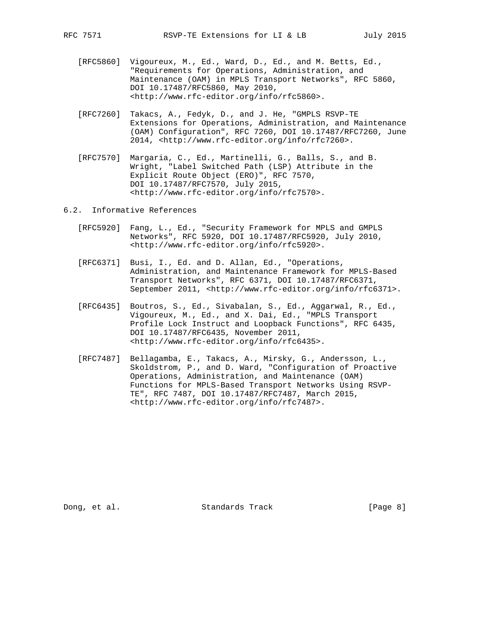- [RFC5860] Vigoureux, M., Ed., Ward, D., Ed., and M. Betts, Ed.,
	- "Requirements for Operations, Administration, and Maintenance (OAM) in MPLS Transport Networks", RFC 5860, DOI 10.17487/RFC5860, May 2010, <http://www.rfc-editor.org/info/rfc5860>.
	- [RFC7260] Takacs, A., Fedyk, D., and J. He, "GMPLS RSVP-TE Extensions for Operations, Administration, and Maintenance (OAM) Configuration", RFC 7260, DOI 10.17487/RFC7260, June 2014, <http://www.rfc-editor.org/info/rfc7260>.
	- [RFC7570] Margaria, C., Ed., Martinelli, G., Balls, S., and B. Wright, "Label Switched Path (LSP) Attribute in the Explicit Route Object (ERO)", RFC 7570, DOI 10.17487/RFC7570, July 2015, <http://www.rfc-editor.org/info/rfc7570>.
- 6.2. Informative References
	- [RFC5920] Fang, L., Ed., "Security Framework for MPLS and GMPLS Networks", RFC 5920, DOI 10.17487/RFC5920, July 2010, <http://www.rfc-editor.org/info/rfc5920>.
	- [RFC6371] Busi, I., Ed. and D. Allan, Ed., "Operations, Administration, and Maintenance Framework for MPLS-Based Transport Networks", RFC 6371, DOI 10.17487/RFC6371, September 2011, <http://www.rfc-editor.org/info/rfc6371>.
	- [RFC6435] Boutros, S., Ed., Sivabalan, S., Ed., Aggarwal, R., Ed., Vigoureux, M., Ed., and X. Dai, Ed., "MPLS Transport Profile Lock Instruct and Loopback Functions", RFC 6435, DOI 10.17487/RFC6435, November 2011, <http://www.rfc-editor.org/info/rfc6435>.
	- [RFC7487] Bellagamba, E., Takacs, A., Mirsky, G., Andersson, L., Skoldstrom, P., and D. Ward, "Configuration of Proactive Operations, Administration, and Maintenance (OAM) Functions for MPLS-Based Transport Networks Using RSVP- TE", RFC 7487, DOI 10.17487/RFC7487, March 2015, <http://www.rfc-editor.org/info/rfc7487>.

Dong, et al. Standards Track [Page 8]